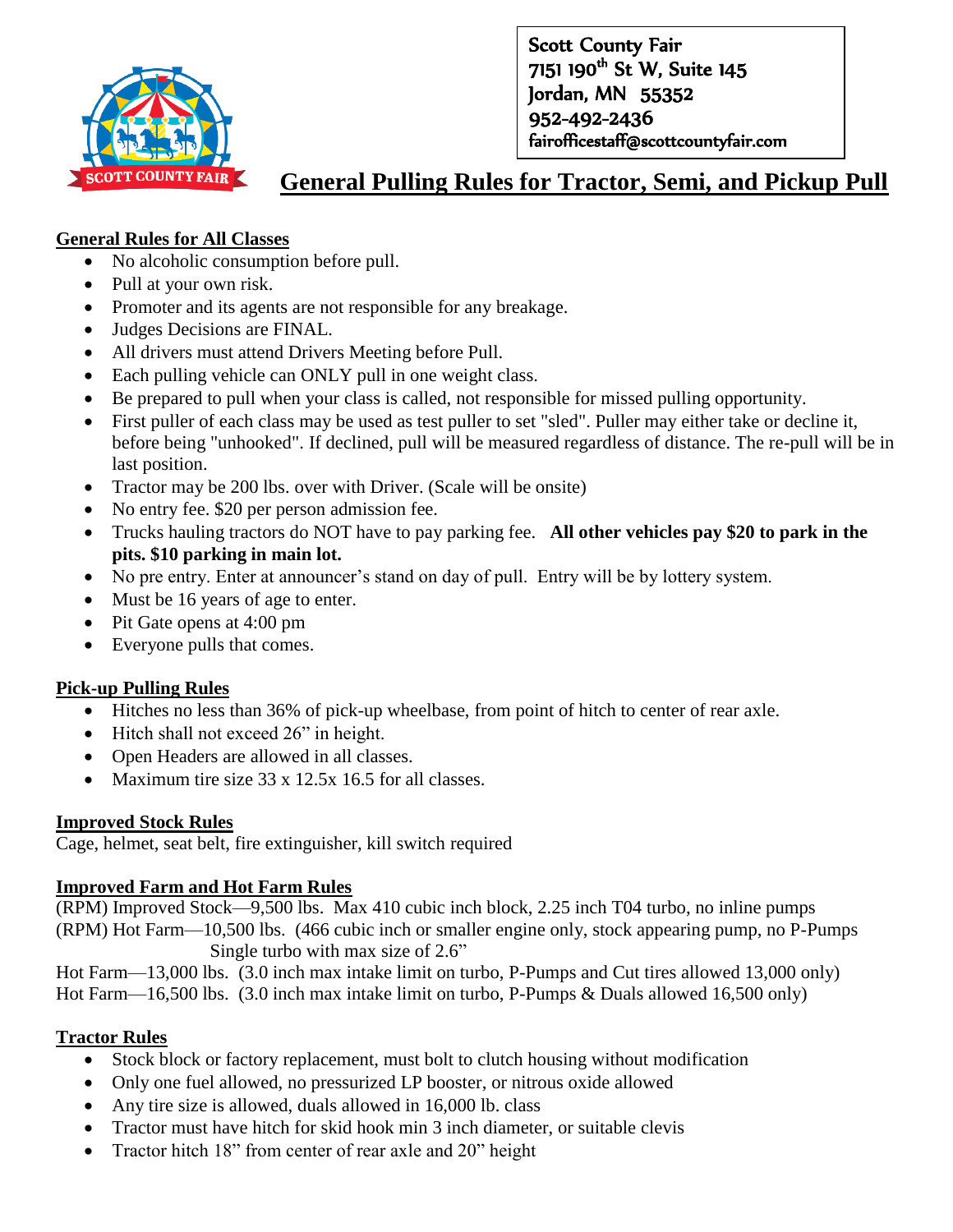

Scott County Fair 7151 190<sup>th</sup> St W, Suite 145 Jordan, MN 55352 952-492-2436 fairofficestaff@scottcountyfair.com

# **General Pulling Rules for Tractor, Semi, and Pickup Pull**

#### **General Rules for All Classes**

- No alcoholic consumption before pull.
- Pull at your own risk.
- Promoter and its agents are not responsible for any breakage.
- Judges Decisions are FINAL.
- All drivers must attend Drivers Meeting before Pull.
- Each pulling vehicle can ONLY pull in one weight class.
- Be prepared to pull when your class is called, not responsible for missed pulling opportunity.
- First puller of each class may be used as test puller to set "sled". Puller may either take or decline it, before being "unhooked". If declined, pull will be measured regardless of distance. The re-pull will be in last position.
- Tractor may be 200 lbs. over with Driver. (Scale will be onsite)
- No entry fee. \$20 per person admission fee.
- Trucks hauling tractors do NOT have to pay parking fee. **All other vehicles pay \$20 to park in the pits. \$10 parking in main lot.**
- No pre entry. Enter at announcer's stand on day of pull. Entry will be by lottery system.
- Must be 16 years of age to enter.
- Pit Gate opens at 4:00 pm
- Everyone pulls that comes.

#### **Pick-up Pulling Rules**

- Hitches no less than 36% of pick-up wheelbase, from point of hitch to center of rear axle.
- Hitch shall not exceed 26" in height.
- Open Headers are allowed in all classes.
- Maximum tire size  $33 \times 12.5 \times 16.5$  for all classes.

#### **Improved Stock Rules**

Cage, helmet, seat belt, fire extinguisher, kill switch required

#### **Improved Farm and Hot Farm Rules**

(RPM) Improved Stock—9,500 lbs. Max 410 cubic inch block, 2.25 inch T04 turbo, no inline pumps (RPM) Hot Farm—10,500 lbs. (466 cubic inch or smaller engine only, stock appearing pump, no P-Pumps Single turbo with max size of 2.6"

Hot Farm—13,000 lbs. (3.0 inch max intake limit on turbo, P-Pumps and Cut tires allowed 13,000 only) Hot Farm—16,500 lbs. (3.0 inch max intake limit on turbo, P-Pumps & Duals allowed 16,500 only)

## **Tractor Rules**

- Stock block or factory replacement, must bolt to clutch housing without modification
- Only one fuel allowed, no pressurized LP booster, or nitrous oxide allowed
- Any tire size is allowed, duals allowed in 16,000 lb. class
- Tractor must have hitch for skid hook min 3 inch diameter, or suitable clevis
- Tractor hitch 18" from center of rear axle and 20" height